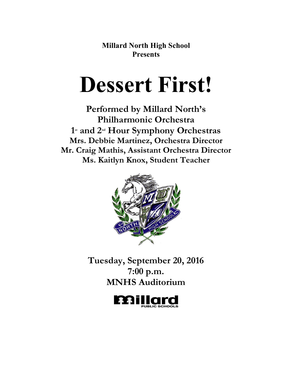**Millard North High School Presents**

# **Dessert First!**

**Performed by Millard North's Philharmonic Orchestra 1st and 2nd Hour Symphony Orchestras Mrs. Debbie Martinez, Orchestra Director Mr. Craig Mathis, Assistant Orchestra Director Ms. Kaitlyn Knox, Student Teacher**



**Tuesday, September 20, 2016 7:00 p.m. MNHS Auditorium**

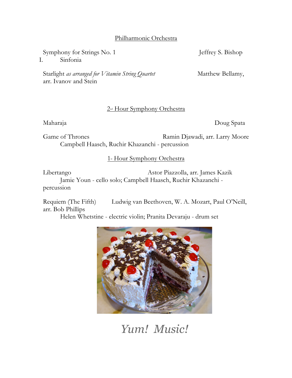# Philharmonic Orchestra

Symphony for Strings No. 1 Jeffrey S. Bishop

I. Sinfonia

Starlight *as arranged for Vitamin String Quartet* Matthew Bellamy, arr. Ivanov and Stein

# 2nd Hour Symphony Orchestra

Maharaja Doug Spata

Game of Thrones Ramin Djawadi, arr. Larry Moore Campbell Haasch, Ruchir Khazanchi - percussion

1<sup>st</sup> Hour Symphony Orchestra

Libertango Astor Piazzolla, arr. James Kazik Jamie Youn - cello solo; Campbell Haasch, Ruchir Khazanchi percussion

Requiem (The Fifth) Ludwig van Beethoven, W. A. Mozart, Paul O'Neill, arr. Bob Phillips

Helen Whetstine - electric violin; Pranita Devaraju - drum set



*Yum! Music!*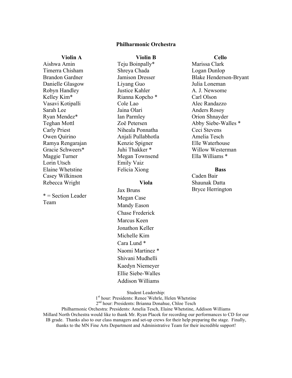## **Philharmonic Orchestra**

**Violin B**

#### **Violin A**

Aishwa Amin Timerra Chisham Brandon Gardner Danielle Glasgow Robyn Handley Kelley Kim\* Vasavi Kotipalli Sarah Lee Ryan Mendez\* Teghan Mottl Carly Priest Owen Quirino Ramya Rengarajan Gracie Schweers\* Maggie Turner Lorin Utsch Elaine Whetstine Casey Wilkinson Rebecca Wright

\* = Section Leader Team

Teju Boinpally\* Shreya Chada Jamison Dresser Liyang Guo Justice Kahler Rianna Kopcho \* Cole Lao Jaina Olari Ian Parmley Zoë Petersen Niheala Ponnatha Anjali Pullabhotla Kenzie Spigner Juhi Thakker \* Megan Townsend Emily Vaiz Felicia Xiong

#### **Viola**

Jax Bruns Megan Case Mandy Eason Chase Frederick Marcus Keen Jonathon Keller Michelle Kim Cara Lund \* Naomi Martinez \* Shivani Mudhelli Kaedyn Niemeyer Ellie Siebe-Walles Addison Williams

**Cello**

Marissa Clark Logan Dunlop Blake Henderson-Bryant Julia Loneman A. J. Newsome Carl Olson Alec Randazzo Anders Rosoy Orion Shnayder Abby Siebe-Walles \* Ceci Stevens Amelia Tesch Elle Waterhouse Willow Westerman Ella Williams \*

#### **Bass**

Caden Bair Shaunak Datta Bryce Herrington

Student Leadership:

1<sup>st</sup> hour: Presidents: Renee'Wehrle, Helen Whetstine

2<sup>nd</sup> hour: Presidents: Brianna Donahue, Chloe Tesch

Philharmonic Orchestra: Presidents: Amelia Tesch, Elaine Whetstine, Addison Williams

Millard North Orchestra would like to thank Mr. Ryan Placek for recording our performances to CD for our IB grade. Thanks also to our class managers and set-up crews for their help preparing the stage. Finally, thanks to the MN Fine Arts Department and Administrative Team for their incredible support!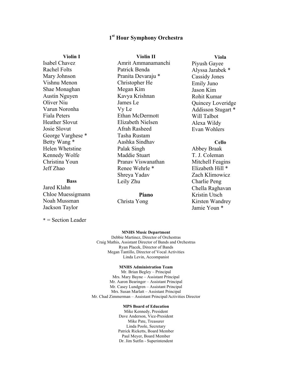# **1st Hour Symphony Orchestra**

**Violin II**

**Violin I**

Isabel Chavez Rachel Folts Mary Johnson Vishnu Menon Shae Monaghan Austin Nguyen Oliver Niu Varun Noronha Fiala Peters Heather Slovut Josie Slovut George Varghese \* Betty Wang \* Helen Whetstine Kennedy Wolfe Christina Youn Jeff Zhao

#### **Bass**

Jared Klahn Chloe Muessigmann Noah Mussman Jackson Taylor

\* = Section Leader

Amrit Ammanamanchi Patrick Benda Pranita Devaraju \* Christopher He Megan Kim Kavya Krishnan James Le Vy Le Ethan McDermott Elizabeth Nielsen Afrah Rasheed Tasha Rustam Aashka Sindhav Palak Singh Maddie Stuart Pranav Viswanathan Renee Wehrle \* Shreya Yadav Leily Zhu

#### **Piano**

Christa Yong

**Viola**

Piyush Gayee Alyssa Jarabek \* Cassidy Jones Emily Juno Jason Kim Rohit Kumar Quincey Loveridge Addisson Stugart \* Will Talbot Alexa Wildy Evan Wohlers

# **Cello**

Abbey Braak T. J. Coleman Mitchell Feagins Elizabeth Hill \* Zach Klimowicz Charlie Peng Chella Raghavan Kristin Utsch Kirsten Wandrey Jamie Youn \*

#### **MNHS Music Department**

Debbie Martinez, Director of Orchestras Craig Mathis, Assistant Director of Bands and Orchestras Ryan Placek, Director of Bands Megan Tantillo, Director of Vocal Activities Linda Levin, Accompanist

#### **MNHS Administration Team**

Mr. Brian Begley – Principal Mrs. Mary Bayne – Assistant Principal Mr. Aaron Bearinger – Assistant Principal Mr. Casey Lundgren – Assistant Principal Mrs. Susan Marlatt – Assistant Principal Mr. Chad Zimmerman – Assistant Principal/Activities Director

#### **MPS Board of Education**

Mike Kennedy, President Dave Anderson, Vice-President Mike Pate, Treasurer Linda Poole, Secretary Patrick Ricketts, Board Member Paul Meyer, Board Member Dr. Jim Sutfin - Superintendent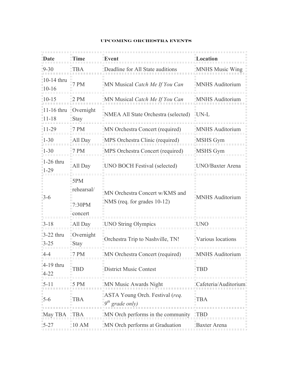# **Upcoming Orchestra Events**

| Date                                         | "Time                                               | Event                                                                | <b>Location</b>         |
|----------------------------------------------|-----------------------------------------------------|----------------------------------------------------------------------|-------------------------|
| $-9-30$                                      | <b>TBA</b>                                          | "Deadline for All State auditions"                                   | <b>MNHS Music Wing</b>  |
| 10-14 thru<br>$10 - 16$                      | 17 P M                                              | MN Musical Catch Me If You Can                                       | <b>MNHS</b> Auditorium  |
| $10 - 15$                                    | $12$ PM                                             | $\parallel$ MN Musical <i>Catch Me If You Can</i>                    | MNHS Auditorium         |
| $ 11-16$ thru $\degree$ Overnight<br>::11-18 | $\mathbb{R}$ Stay                                   | "NMEA All State Orchestra (selected)                                 | <b>UN-L</b>             |
| 11-29                                        | $\overline{7}$ PM                                   | MN Orchestra Concert (required)                                      | MNHS Auditorium         |
| $1 - 30$                                     | All Day                                             | MPS Orchestra Clinic (required)                                      | MSHS Gym                |
| $1 - 30$                                     | $\overline{17}$ PM                                  | MPS Orchestra Concert (required)                                     | MSHS Gym                |
| 1-26 thru<br>$1 - 29$                        | All Day                                             | UNO BOCH Festival (selected)                                         | <b>UNO/Baxter Arena</b> |
| 3-6                                          | $\mathbf{B}$ 5PM<br>rehearsal/<br>7:30PM<br>concert | "MN Orchestra Concert w/KMS and<br>$\mu$ NMS (req. for grades 10-12) | <b>MNHS Auditorium</b>  |
| $3 - 18$                                     | All Day                                             | <b>UNO String Olympics</b>                                           | <b>UNC</b>              |
| $\frac{1}{2}$ -22 thru<br>$-25$              | Overnight<br>$\mathbb{I}$ Stay                      | Orchestra Trip to Nashville, TN!                                     | Various locations       |
| 4-4                                          | '7 PM                                               | MN Orchestra Concert (required)                                      | <b>MNHS Auditorium</b>  |
| $\parallel$ 4-19 thru<br>$-4-22$             | TBD                                                 | <b>District Music Contest</b>                                        | TBD                     |
| $-5 - 11$                                    | $\overline{5}$ PM                                   | "MN Music Awards Night"                                              | Cafeteria/Auditorium    |
| $-5-6$                                       | <b>TBA</b>                                          | "ASTA Young Orch. Festival (req.<br>$9th$ grade only)                | ГBA                     |
| May TBA                                      |                                                     | MN Orch performs in the community                                    |                         |
| $15 - 27$                                    | 10 AM                                               | "MN Orch performs at Graduation                                      | "Baxter Arena           |